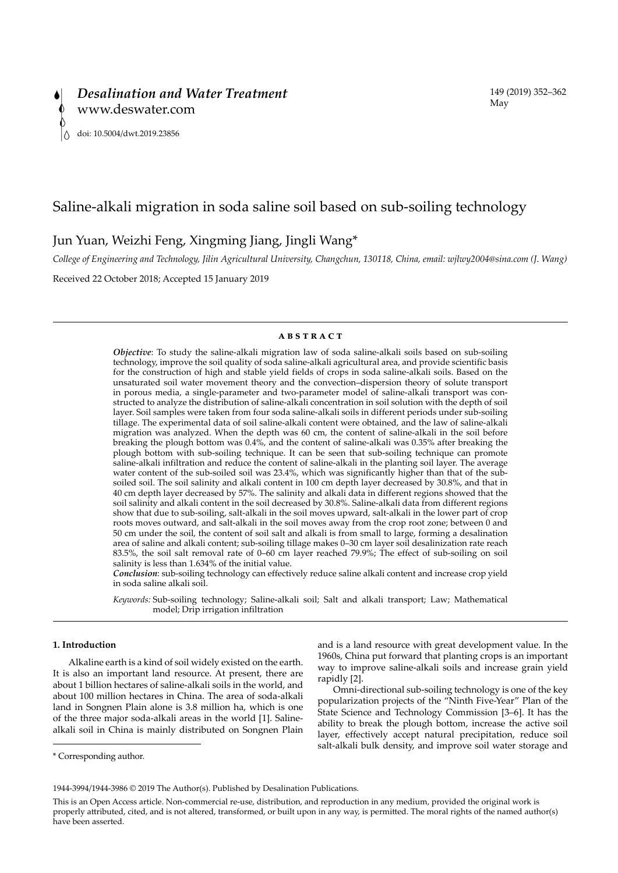# Saline-alkali migration in soda saline soil based on sub-soiling technology

Jun Yuan, Weizhi Feng, Xingming Jiang, Jingli Wang\*

*College of Engineering and Technology, Jilin Agricultural University, Changchun, 130118, China, email: wjlwy2004@sina.com (J. Wang)*

Received 22 October 2018; Accepted 15 January 2019

# **ABSTRACT**

*Objective*: To study the saline-alkali migration law of soda saline-alkali soils based on sub-soiling technology, improve the soil quality of soda saline-alkali agricultural area, and provide scientific basis for the construction of high and stable yield fields of crops in soda saline-alkali soils. Based on the unsaturated soil water movement theory and the convection–dispersion theory of solute transport in porous media, a single-parameter and two-parameter model of saline-alkali transport was constructed to analyze the distribution of saline-alkali concentration in soil solution with the depth of soil layer. Soil samples were taken from four soda saline-alkali soils in different periods under sub-soiling tillage. The experimental data of soil saline-alkali content were obtained, and the law of saline-alkali migration was analyzed. When the depth was 60 cm, the content of saline-alkali in the soil before breaking the plough bottom was 0.4%, and the content of saline-alkali was 0.35% after breaking the plough bottom with sub-soiling technique. It can be seen that sub-soiling technique can promote saline-alkali infiltration and reduce the content of saline-alkali in the planting soil layer. The average water content of the sub-soiled soil was 23.4%, which was significantly higher than that of the subsoiled soil. The soil salinity and alkali content in 100 cm depth layer decreased by 30.8%, and that in 40 cm depth layer decreased by 57%. The salinity and alkali data in different regions showed that the soil salinity and alkali content in the soil decreased by 30.8%. Saline-alkali data from different regions show that due to sub-soiling, salt-alkali in the soil moves upward, salt-alkali in the lower part of crop roots moves outward, and salt-alkali in the soil moves away from the crop root zone; between 0 and 50 cm under the soil, the content of soil salt and alkali is from small to large, forming a desalination area of saline and alkali content; sub-soiling tillage makes 0–30 cm layer soil desalinization rate reach 83.5%, the soil salt removal rate of 0–60 cm layer reached 79.9%; The effect of sub-soiling on soil salinity is less than 1.634% of the initial value.

*Conclusion*: sub-soiling technology can effectively reduce saline alkali content and increase crop yield in soda saline alkali soil.

*Keywords:* Sub-soiling technology; Saline-alkali soil; Salt and alkali transport; Law; Mathematical model; Drip irrigation infiltration

# **1. Introduction**

Alkaline earth is a kind of soil widely existed on the earth. It is also an important land resource. At present, there are about 1 billion hectares of saline-alkali soils in the world, and about 100 million hectares in China. The area of soda-alkali land in Songnen Plain alone is 3.8 million ha, which is one of the three major soda-alkali areas in the world [1]. Salinealkali soil in China is mainly distributed on Songnen Plain

and is a land resource with great development value. In the 1960s, China put forward that planting crops is an important way to improve saline-alkali soils and increase grain yield rapidly [2].

Omni-directional sub-soiling technology is one of the key popularization projects of the "Ninth Five-Year" Plan of the State Science and Technology Commission [3–6]. It has the ability to break the plough bottom, increase the active soil layer, effectively accept natural precipitation, reduce soil salt-alkali bulk density, and improve soil water storage and

<sup>\*</sup> Corresponding author.

<sup>1944-3994/1944-3986 © 2019</sup> The Author(s). Published by Desalination Publications.

This is an Open Access article. Non-commercial re-use, distribution, and reproduction in any medium, provided the original work is properly attributed, cited, and is not altered, transformed, or built upon in any way, is permitted. The moral rights of the named author(s) have been asserted.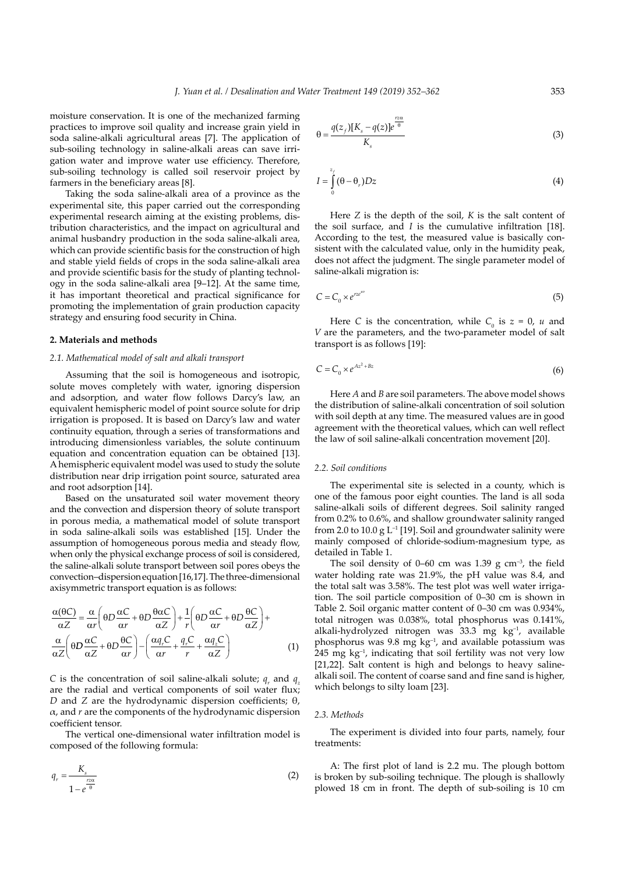moisture conservation. It is one of the mechanized farming practices to improve soil quality and increase grain yield in soda saline-alkali agricultural areas [7]. The application of sub-soiling technology in saline-alkali areas can save irrigation water and improve water use efficiency. Therefore, sub-soiling technology is called soil reservoir project by farmers in the beneficiary areas [8].

Taking the soda saline-alkali area of a province as the experimental site, this paper carried out the corresponding experimental research aiming at the existing problems, distribution characteristics, and the impact on agricultural and animal husbandry production in the soda saline-alkali area, which can provide scientific basis for the construction of high and stable yield fields of crops in the soda saline-alkali area and provide scientific basis for the study of planting technology in the soda saline-alkali area [9–12]. At the same time, it has important theoretical and practical significance for promoting the implementation of grain production capacity strategy and ensuring food security in China.

#### **2. Materials and methods**

## *2.1. Mathematical model of salt and alkali transport*

Assuming that the soil is homogeneous and isotropic, solute moves completely with water, ignoring dispersion and adsorption, and water flow follows Darcy's law, an equivalent hemispheric model of point source solute for drip irrigation is proposed. It is based on Darcy's law and water continuity equation, through a series of transformations and introducing dimensionless variables, the solute continuum equation and concentration equation can be obtained [13]. A hemispheric equivalent model was used to study the solute distribution near drip irrigation point source, saturated area and root adsorption [14].

Based on the unsaturated soil water movement theory and the convection and dispersion theory of solute transport in porous media, a mathematical model of solute transport in soda saline-alkali soils was established [15]. Under the assumption of homogeneous porous media and steady flow, when only the physical exchange process of soil is considered, the saline-alkali solute transport between soil pores obeys the convection–dispersion equation [16,17]. The three-dimensional axisymmetric transport equation is as follows:

$$
\frac{\alpha(\theta C)}{\alpha Z} = \frac{\alpha}{\alpha r} \left( \theta D \frac{\alpha C}{\alpha r} + \theta D \frac{\theta \alpha C}{\alpha Z} \right) + \frac{1}{r} \left( \theta D \frac{\alpha C}{\alpha r} + \theta D \frac{\theta C}{\alpha Z} \right) + \frac{\alpha}{\alpha Z} \left( \theta D \frac{\alpha C}{\alpha Z} + \theta D \frac{\theta C}{\alpha r} \right) - \left( \frac{\alpha q_r C}{\alpha r} + \frac{q_r C}{r} + \frac{\alpha q_z C}{\alpha Z} \right) \tag{1}
$$

*C* is the concentration of soil saline-alkali solute;  $q_r$  and  $q_z$ are the radial and vertical components of soil water flux; *D* and *Z* are the hydrodynamic dispersion coefficients; θ,  $\alpha$ , and  $r$  are the components of the hydrodynamic dispersion coefficient tensor.

The vertical one-dimensional water infiltration model is composed of the following formula:

$$
q_r = \frac{K_s}{1 - e^{\frac{r \alpha}{\theta}}} \tag{2}
$$

$$
\theta = \frac{q(z_f)[K_s - q(z)]e^{\frac{rza}{\theta}}}{K_s} \tag{3}
$$

$$
I = \int_{0}^{z_f} (\theta - \theta_r) Dz \tag{4}
$$

Here *Z* is the depth of the soil, *K* is the salt content of the soil surface, and *I* is the cumulative infiltration [18]. According to the test, the measured value is basically consistent with the calculated value, only in the humidity peak, does not affect the judgment. The single parameter model of saline-alkali migration is:

$$
C = C_0 \times e^{rze^{iw}} \tag{5}
$$

Here *C* is the concentration, while  $C_0$  is  $z = 0$ , *u* and *V* are the parameters, and the two-parameter model of salt transport is as follows [19]:

$$
C = C_0 \times e^{Az^2 + Bz} \tag{6}
$$

Here *A* and *B* are soil parameters. The above model shows the distribution of saline-alkali concentration of soil solution with soil depth at any time. The measured values are in good agreement with the theoretical values, which can well reflect the law of soil saline-alkali concentration movement [20].

#### *2.2. Soil conditions*

The experimental site is selected in a county, which is one of the famous poor eight counties. The land is all soda saline-alkali soils of different degrees. Soil salinity ranged from 0.2% to 0.6%, and shallow groundwater salinity ranged from 2.0 to 10.0 g  $L^{-1}$  [19]. Soil and groundwater salinity were mainly composed of chloride-sodium-magnesium type, as detailed in Table 1.

The soil density of 0–60 cm was 1.39 g cm<sup>-3</sup>, the field water holding rate was 21.9%, the pH value was 8.4, and the total salt was 3.58%. The test plot was well water irrigation. The soil particle composition of 0–30 cm is shown in Table 2. Soil organic matter content of 0–30 cm was 0.934%, total nitrogen was 0.038%, total phosphorus was 0.141%, alkali-hydrolyzed nitrogen was 33.3 mg kg–1, available phosphorus was 9.8 mg  $kg^{-1}$ , and available potassium was 245 mg kg–1, indicating that soil fertility was not very low [21,22]. Salt content is high and belongs to heavy salinealkali soil. The content of coarse sand and fine sand is higher, which belongs to silty loam [23].

#### *2.3. Methods*

The experiment is divided into four parts, namely, four treatments:

A: The first plot of land is 2.2 mu. The plough bottom is broken by sub-soiling technique. The plough is shallowly plowed 18 cm in front. The depth of sub-soiling is 10 cm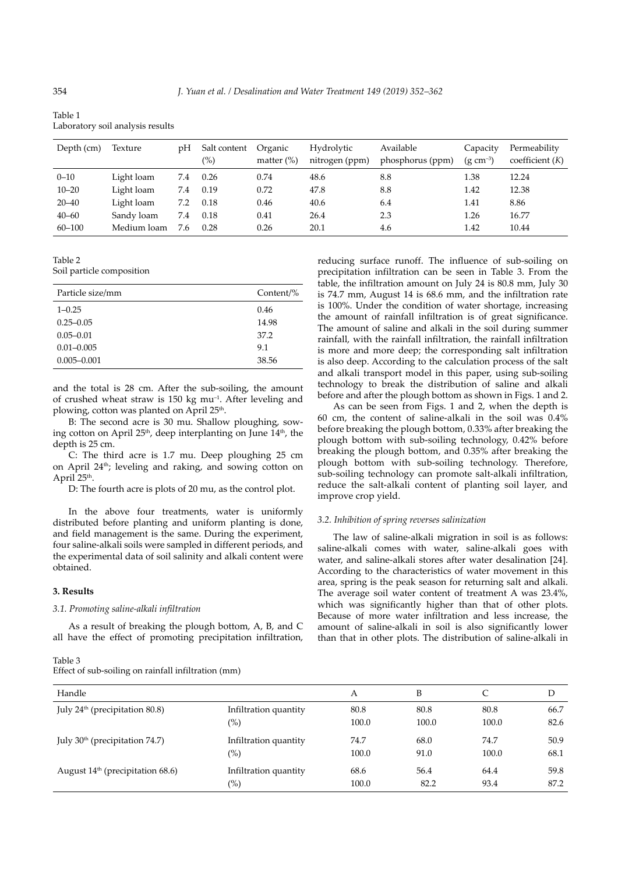| Table 1                          |  |
|----------------------------------|--|
| Laboratory soil analysis results |  |

| Depth (cm) | Texture     | рH  | Salt content<br>$\frac{9}{6}$ | Organic<br>matter $(\%)$ | Hydrolytic<br>nitrogen (ppm) | Available<br>phosphorus (ppm) | Capacity<br>$(g cm^{-3})$ | Permeability<br>coefficient $(K)$ |
|------------|-------------|-----|-------------------------------|--------------------------|------------------------------|-------------------------------|---------------------------|-----------------------------------|
| $0 - 10$   | Light loam  | 7.4 | 0.26                          | 0.74                     | 48.6                         | 8.8                           | 1.38                      | 12.24                             |
| $10 - 20$  | Light loam  | 7.4 | 0.19                          | 0.72                     | 47.8                         | 8.8                           | 1.42                      | 12.38                             |
| $20 - 40$  | Light loam  | 7.2 | 0.18                          | 0.46                     | 40.6                         | 6.4                           | 1.41                      | 8.86                              |
| $40 - 60$  | Sandy loam  | 7.4 | 0.18                          | 0.41                     | 26.4                         | 2.3                           | 1.26                      | 16.77                             |
| $60 - 100$ | Medium loam | 7.6 | 0.28                          | 0.26                     | 20.1                         | 4.6                           | 1.42                      | 10.44                             |

Table 2

Soil particle composition

| Particle size/mm | Content/% |
|------------------|-----------|
| $1 - 0.25$       | 0.46      |
| $0.25 - 0.05$    | 14.98     |
| $0.05 - 0.01$    | 37.2      |
| $0.01 - 0.005$   | 9.1       |
| $0.005 - 0.001$  | 38.56     |

and the total is 28 cm. After the sub-soiling, the amount of crushed wheat straw is 150 kg mu–1. After leveling and plowing, cotton was planted on April 25<sup>th</sup>.

B: The second acre is 30 mu. Shallow ploughing, sowing cotton on April  $25<sup>th</sup>$ , deep interplanting on June  $14<sup>th</sup>$ , the depth is 25 cm.

C: The third acre is 1.7 mu. Deep ploughing 25 cm on April 24th; leveling and raking, and sowing cotton on April 25<sup>th</sup>.

D: The fourth acre is plots of 20 mu, as the control plot.

In the above four treatments, water is uniformly distributed before planting and uniform planting is done, and field management is the same. During the experiment, four saline-alkali soils were sampled in different periods, and the experimental data of soil salinity and alkali content were obtained.

# **3. Results**

# *3.1. Promoting saline-alkali infiltration*

As a result of breaking the plough bottom, A, B, and C all have the effect of promoting precipitation infiltration,

Table 3

Effect of sub-soiling on rainfall infiltration (mm)

reducing surface runoff. The influence of sub-soiling on precipitation infiltration can be seen in Table 3. From the table, the infiltration amount on July 24 is 80.8 mm, July 30 is 74.7 mm, August 14 is 68.6 mm, and the infiltration rate is 100%. Under the condition of water shortage, increasing the amount of rainfall infiltration is of great significance. The amount of saline and alkali in the soil during summer rainfall, with the rainfall infiltration, the rainfall infiltration is more and more deep; the corresponding salt infiltration is also deep. According to the calculation process of the salt and alkali transport model in this paper, using sub-soiling technology to break the distribution of saline and alkali before and after the plough bottom as shown in Figs. 1 and 2.

As can be seen from Figs. 1 and 2, when the depth is 60 cm, the content of saline-alkali in the soil was 0.4% before breaking the plough bottom, 0.33% after breaking the plough bottom with sub-soiling technology, 0.42% before breaking the plough bottom, and 0.35% after breaking the plough bottom with sub-soiling technology. Therefore, sub-soiling technology can promote salt-alkali infiltration, reduce the salt-alkali content of planting soil layer, and improve crop yield.

#### *3.2. Inhibition of spring reverses salinization*

The law of saline-alkali migration in soil is as follows: saline-alkali comes with water, saline-alkali goes with water, and saline-alkali stores after water desalination [24]. According to the characteristics of water movement in this area, spring is the peak season for returning salt and alkali. The average soil water content of treatment A was 23.4%, which was significantly higher than that of other plots. Because of more water infiltration and less increase, the amount of saline-alkali in soil is also significantly lower than that in other plots. The distribution of saline-alkali in

| Handle                                     |                       | А     | B     |       | D    |
|--------------------------------------------|-----------------------|-------|-------|-------|------|
| July 24 <sup>th</sup> (precipitation 80.8) | Infiltration quantity | 80.8  | 80.8  | 80.8  | 66.7 |
|                                            | $(\%)$                | 100.0 | 100.0 | 100.0 | 82.6 |
| July 30 <sup>th</sup> (precipitation 74.7) | Infiltration quantity | 74.7  | 68.0  | 74.7  | 50.9 |
|                                            | $(\%)$                | 100.0 | 91.0  | 100.0 | 68.1 |
| August $14th$ (precipitation 68.6)         | Infiltration quantity | 68.6  | 56.4  | 64.4  | 59.8 |
|                                            | $(\%)$                | 100.0 | 82.2  | 93.4  | 87.2 |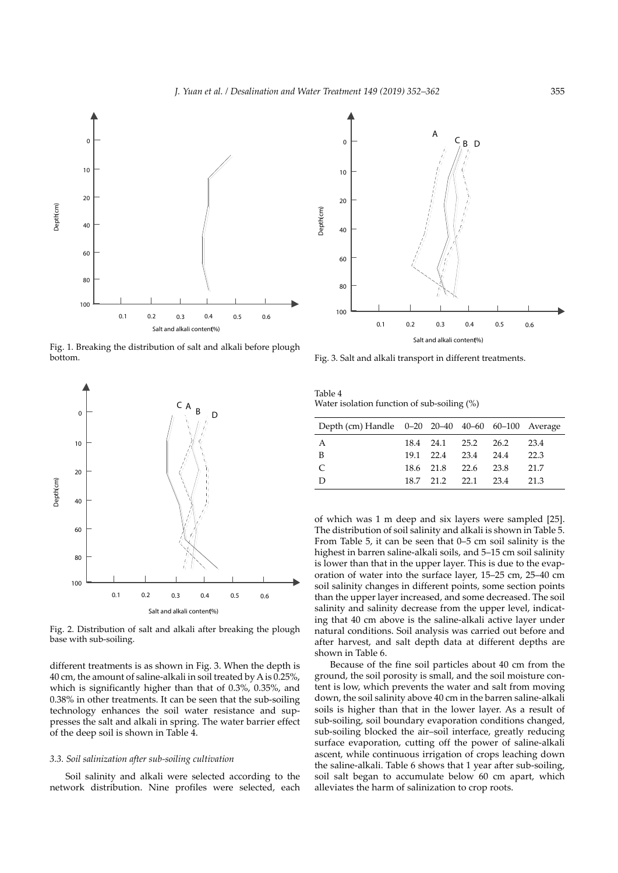

Fig. 1. Breaking the distribution of salt and alkali before plough bottom.



Fig. 2. Distribution of salt and alkali after breaking the plough base with sub-soiling.

different treatments is as shown in Fig. 3. When the depth is 40 cm, the amount of saline-alkali in soil treated by A is 0.25%, which is significantly higher than that of 0.3%, 0.35%, and 0.38% in other treatments. It can be seen that the sub-soiling technology enhances the soil water resistance and suppresses the salt and alkali in spring. The water barrier effect of the deep soil is shown in Table 4.

#### *3.3. Soil salinization after sub-soiling cultivation*

Soil salinity and alkali were selected according to the network distribution. Nine profiles were selected, each



Fig. 3. Salt and alkali transport in different treatments.

Table 4 Water isolation function of sub-soiling (%)

| Depth (cm) Handle 0-20 20-40 40-60 60-100 Average |  |                     |      |
|---------------------------------------------------|--|---------------------|------|
| A                                                 |  | 18.4 24.1 25.2 26.2 | 23.4 |
| B                                                 |  | 19.1 22.4 23.4 24.4 | 22.3 |
| C                                                 |  | 18.6 21.8 22.6 23.8 | 21.7 |
| D                                                 |  | 18.7 21.2 22.1 23.4 | 21.3 |

of which was 1 m deep and six layers were sampled [25]. The distribution of soil salinity and alkali is shown in Table 5. From Table 5, it can be seen that 0–5 cm soil salinity is the highest in barren saline-alkali soils, and 5–15 cm soil salinity is lower than that in the upper layer. This is due to the evaporation of water into the surface layer, 15–25 cm, 25–40 cm soil salinity changes in different points, some section points than the upper layer increased, and some decreased. The soil salinity and salinity decrease from the upper level, indicating that 40 cm above is the saline-alkali active layer under natural conditions. Soil analysis was carried out before and after harvest, and salt depth data at different depths are shown in Table 6.

Because of the fine soil particles about 40 cm from the ground, the soil porosity is small, and the soil moisture content is low, which prevents the water and salt from moving down, the soil salinity above 40 cm in the barren saline-alkali soils is higher than that in the lower layer. As a result of sub-soiling, soil boundary evaporation conditions changed, sub-soiling blocked the air–soil interface, greatly reducing surface evaporation, cutting off the power of saline-alkali ascent, while continuous irrigation of crops leaching down the saline-alkali. Table 6 shows that 1 year after sub-soiling, soil salt began to accumulate below 60 cm apart, which alleviates the harm of salinization to crop roots.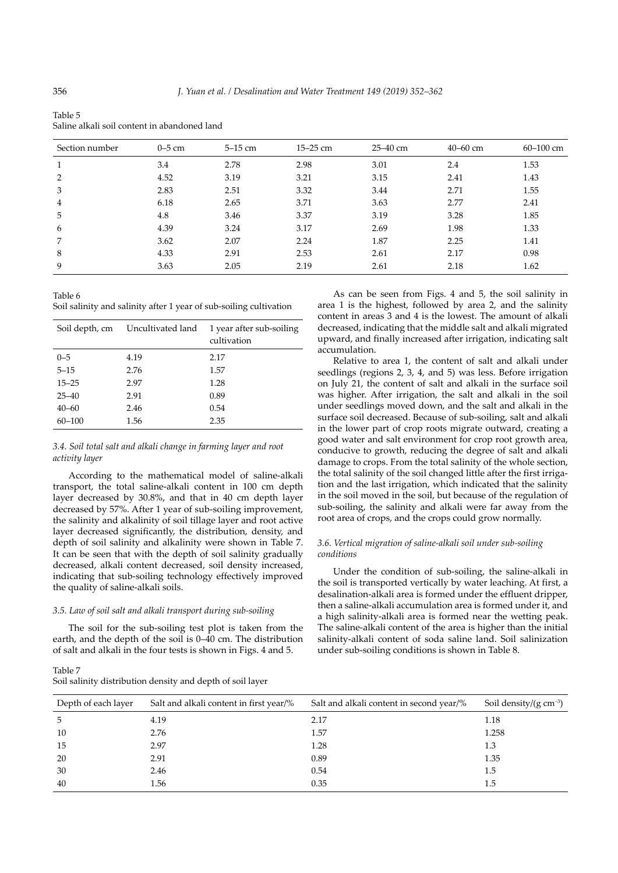| Section number | $0-5$ cm | $5-15$ cm | $15 - 25$ cm | 25–40 cm | $40 - 60$ cm | $60 - 100$ cm |
|----------------|----------|-----------|--------------|----------|--------------|---------------|
| $\mathbf{1}$   | 3.4      | 2.78      | 2.98         | 3.01     | 2.4          | 1.53          |
| 2              | 4.52     | 3.19      | 3.21         | 3.15     | 2.41         | 1.43          |
| 3              | 2.83     | 2.51      | 3.32         | 3.44     | 2.71         | 1.55          |
| $\overline{4}$ | 6.18     | 2.65      | 3.71         | 3.63     | 2.77         | 2.41          |
| 5              | 4.8      | 3.46      | 3.37         | 3.19     | 3.28         | 1.85          |
| 6              | 4.39     | 3.24      | 3.17         | 2.69     | 1.98         | 1.33          |
| 7              | 3.62     | 2.07      | 2.24         | 1.87     | 2.25         | 1.41          |
| 8              | 4.33     | 2.91      | 2.53         | 2.61     | 2.17         | 0.98          |
| 9              | 3.63     | 2.05      | 2.19         | 2.61     | 2.18         | 1.62          |
|                |          |           |              |          |              |               |

Saline alkali soil content in abandoned land

Table 6 Soil salinity and salinity after 1 year of sub-soiling cultivation

| Soil depth, cm | Uncultivated land | 1 year after sub-soiling<br>cultivation |
|----------------|-------------------|-----------------------------------------|
| $0 - 5$        | 4.19              | 2.17                                    |
| $5 - 15$       | 2.76              | 1.57                                    |
| $15 - 25$      | 2.97              | 1.28                                    |
| $25 - 40$      | 2.91              | 0.89                                    |
| $40 - 60$      | 2.46              | 0.54                                    |
| $60 - 100$     | 1.56              | 2.35                                    |

# *3.4. Soil total salt and alkali change in farming layer and root activity layer*

According to the mathematical model of saline-alkali transport, the total saline-alkali content in 100 cm depth layer decreased by 30.8%, and that in 40 cm depth layer decreased by 57%. After 1 year of sub-soiling improvement, the salinity and alkalinity of soil tillage layer and root active layer decreased significantly, the distribution, density, and depth of soil salinity and alkalinity were shown in Table 7. It can be seen that with the depth of soil salinity gradually decreased, alkali content decreased, soil density increased, indicating that sub-soiling technology effectively improved the quality of saline-alkali soils.

# *3.5. Law of soil salt and alkali transport during sub-soiling*

The soil for the sub-soiling test plot is taken from the earth, and the depth of the soil is 0–40 cm. The distribution of salt and alkali in the four tests is shown in Figs. 4 and 5.

Table 7 Soil salinity distribution density and depth of soil layer

As can be seen from Figs. 4 and 5, the soil salinity in area 1 is the highest, followed by area 2, and the salinity content in areas 3 and 4 is the lowest. The amount of alkali decreased, indicating that the middle salt and alkali migrated upward, and finally increased after irrigation, indicating salt accumulation.

Relative to area 1, the content of salt and alkali under seedlings (regions 2, 3, 4, and 5) was less. Before irrigation on July 21, the content of salt and alkali in the surface soil was higher. After irrigation, the salt and alkali in the soil under seedlings moved down, and the salt and alkali in the surface soil decreased. Because of sub-soiling, salt and alkali in the lower part of crop roots migrate outward, creating a good water and salt environment for crop root growth area, conducive to growth, reducing the degree of salt and alkali damage to crops. From the total salinity of the whole section, the total salinity of the soil changed little after the first irrigation and the last irrigation, which indicated that the salinity in the soil moved in the soil, but because of the regulation of sub-soiling, the salinity and alkali were far away from the root area of crops, and the crops could grow normally.

# *3.6. Vertical migration of saline-alkali soil under sub-soiling conditions*

Under the condition of sub-soiling, the saline-alkali in the soil is transported vertically by water leaching. At first, a desalination-alkali area is formed under the effluent dripper, then a saline-alkali accumulation area is formed under it, and a high salinity-alkali area is formed near the wetting peak. The saline-alkali content of the area is higher than the initial salinity-alkali content of soda saline land. Soil salinization under sub-soiling conditions is shown in Table 8.

| Depth of each layer | Salt and alkali content in first year/% | Salt and alkali content in second year/% | Soil density/ $(g \text{ cm}^{-3})$ |
|---------------------|-----------------------------------------|------------------------------------------|-------------------------------------|
| -5                  | 4.19                                    | 2.17                                     | 1.18                                |
| 10                  | 2.76                                    | 1.57                                     | 1.258                               |
| 15                  | 2.97                                    | 1.28                                     | 1.3                                 |
| 20                  | 2.91                                    | 0.89                                     | 1.35                                |
| 30                  | 2.46                                    | 0.54                                     | 1.5                                 |
| 40                  | 1.56                                    | 0.35                                     | 1.5                                 |

Table 5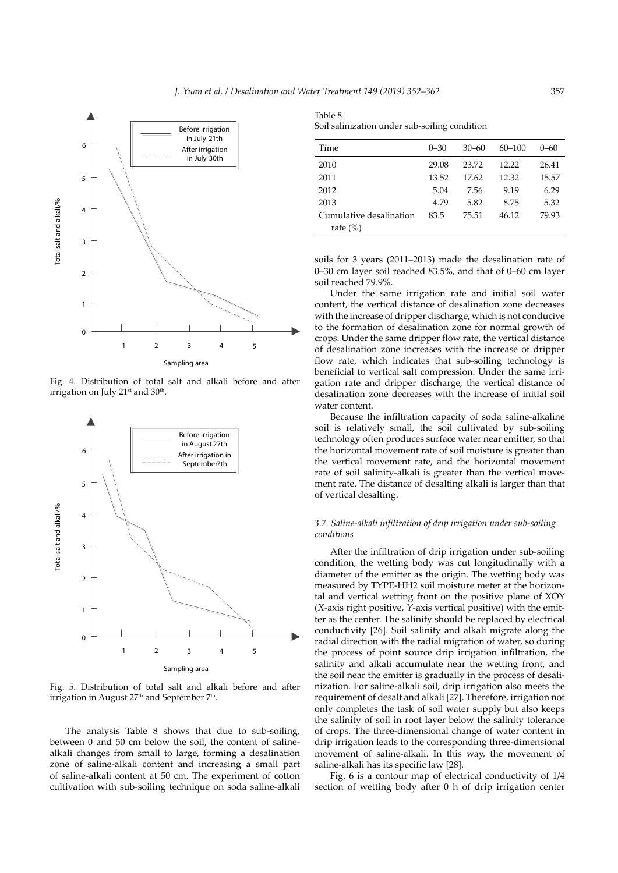

Fig. 4. Distribution of total salt and alkali before and after irrigation on July  $21<sup>st</sup>$  and  $30<sup>th</sup>$ .



Fig. 5. Distribution of total salt and alkali before and after irrigation in August 27th and September 7th.

The analysis Table 8 shows that due to sub-soiling, between 0 and 50 cm below the soil, the content of salinealkali changes from small to large, forming a desalination zone of saline-alkali content and increasing a small part of saline-alkali content at 50 cm. The experiment of cotton cultivation with sub-soiling technique on soda saline-alkali

Table 8 Soil salinization under sub-soiling condition

| Time                    | $0 - 30$ | $30 - 60$ | $60 - 100$ | $(1 - 6)$ |
|-------------------------|----------|-----------|------------|-----------|
| 2010                    | 29.08    | 23.72     | 12.22      | 26.41     |
| 2011                    | 13.52    | 17.62     | 12.32      | 15.57     |
| 2012                    | 5.04     | 7.56      | 9.19       | 6.29      |
| 2013                    | 4.79     | 5.82      | 8.75       | 5.32      |
| Cumulative desalination | 83.5     | 75.51     | 46.12      | 79.93     |
| rate $(\%)$             |          |           |            |           |

soils for 3 years (2011–2013) made the desalination rate of 0–30 cm layer soil reached 83.5%, and that of 0–60 cm layer soil reached 79.9%.

Under the same irrigation rate and initial soil water content, the vertical distance of desalination zone decreases with the increase of dripper discharge, which is not conducive to the formation of desalination zone for normal growth of crops. Under the same dripper flow rate, the vertical distance of desalination zone increases with the increase of dripper flow rate, which indicates that sub-soiling technology is beneficial to vertical salt compression. Under the same irrigation rate and dripper discharge, the vertical distance of desalination zone decreases with the increase of initial soil water content.

Because the infiltration capacity of soda saline-alkaline soil is relatively small, the soil cultivated by sub-soiling technology often produces surface water near emitter, so that the horizontal movement rate of soil moisture is greater than the vertical movement rate, and the horizontal movement rate of soil salinity-alkali is greater than the vertical movement rate. The distance of desalting alkali is larger than that of vertical desalting.

# *3.7. Saline-alkali infiltration of drip irrigation under sub-soiling conditions*

After the infiltration of drip irrigation under sub-soiling condition, the wetting body was cut longitudinally with a diameter of the emitter as the origin. The wetting body was measured by TYPE-HH2 soil moisture meter at the horizontal and vertical wetting front on the positive plane of XOY (*X*-axis right positive, *Y*-axis vertical positive) with the emitter as the center. The salinity should be replaced by electrical conductivity [26]. Soil salinity and alkali migrate along the radial direction with the radial migration of water, so during the process of point source drip irrigation infiltration, the salinity and alkali accumulate near the wetting front, and the soil near the emitter is gradually in the process of desalinization. For saline-alkali soil, drip irrigation also meets the requirement of desalt and alkali [27]. Therefore, irrigation not only completes the task of soil water supply but also keeps the salinity of soil in root layer below the salinity tolerance of crops. The three-dimensional change of water content in drip irrigation leads to the corresponding three-dimensional movement of saline-alkali. In this way, the movement of saline-alkali has its specific law [28].

Fig. 6 is a contour map of electrical conductivity of 1/4 section of wetting body after 0 h of drip irrigation center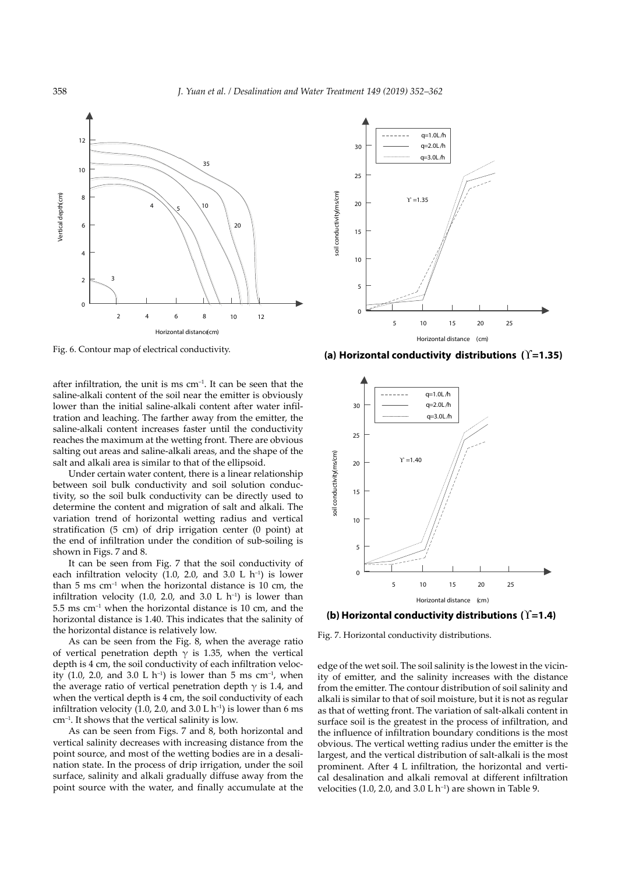

Fig. 6. Contour map of electrical conductivity.

after infiltration, the unit is ms  $cm<sup>-1</sup>$ . It can be seen that the saline-alkali content of the soil near the emitter is obviously lower than the initial saline-alkali content after water infiltration and leaching. The farther away from the emitter, the saline-alkali content increases faster until the conductivity reaches the maximum at the wetting front. There are obvious salting out areas and saline-alkali areas, and the shape of the salt and alkali area is similar to that of the ellipsoid.

Under certain water content, there is a linear relationship between soil bulk conductivity and soil solution conductivity, so the soil bulk conductivity can be directly used to determine the content and migration of salt and alkali. The variation trend of horizontal wetting radius and vertical stratification (5 cm) of drip irrigation center (0 point) at the end of infiltration under the condition of sub-soiling is shown in Figs. 7 and 8.

It can be seen from Fig. 7 that the soil conductivity of each infiltration velocity (1.0, 2.0, and 3.0 L  $h^{-1}$ ) is lower than 5 ms  $cm^{-1}$  when the horizontal distance is 10 cm, the infiltration velocity  $(1.0, 2.0, \text{ and } 3.0 \text{ L } \text{h}^{-1})$  is lower than  $5.5 \text{ ms cm}^{-1}$  when the horizontal distance is 10 cm, and the horizontal distance is 1.40. This indicates that the salinity of the horizontal distance is relatively low.

As can be seen from the Fig. 8, when the average ratio of vertical penetration depth  $\gamma$  is 1.35, when the vertical depth is 4 cm, the soil conductivity of each infiltration velocity (1.0, 2.0, and 3.0 L h<sup>-1</sup>) is lower than 5 ms cm<sup>-1</sup>, when the average ratio of vertical penetration depth  $\gamma$  is 1.4, and when the vertical depth is 4 cm, the soil conductivity of each infiltration velocity (1.0, 2.0, and 3.0 L  $h^{-1}$ ) is lower than 6 ms cm–1. It shows that the vertical salinity is low.

As can be seen from Figs. 7 and 8, both horizontal and vertical salinity decreases with increasing distance from the point source, and most of the wetting bodies are in a desalination state. In the process of drip irrigation, under the soil surface, salinity and alkali gradually diffuse away from the point source with the water, and finally accumulate at the



**(a) Horizontal conductivity distributions (**ϒ**=1.35)**



**(b) Horizontal conductivity distributions (**ϒ**=1.4)** 

Fig. 7. Horizontal conductivity distributions.

edge of the wet soil. The soil salinity is the lowest in the vicinity of emitter, and the salinity increases with the distance from the emitter. The contour distribution of soil salinity and alkali is similar to that of soil moisture, but it is not as regular as that of wetting front. The variation of salt-alkali content in surface soil is the greatest in the process of infiltration, and the influence of infiltration boundary conditions is the most obvious. The vertical wetting radius under the emitter is the largest, and the vertical distribution of salt-alkali is the most prominent. After 4 L infiltration, the horizontal and vertical desalination and alkali removal at different infiltration velocities (1.0, 2.0, and 3.0 L  $h^{-1}$ ) are shown in Table 9.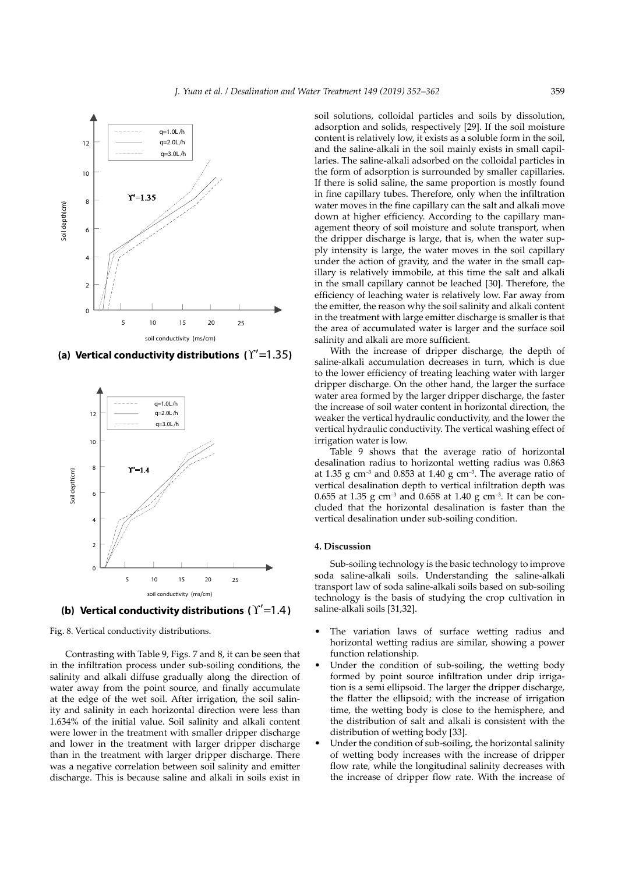

**(a) Vertical conductivity distributions (**ϒ′=1.35**)**



**(b) Vertical conductivity distributions (**ϒ′=1.4**)**

Fig. 8. Vertical conductivity distributions.

Contrasting with Table 9, Figs. 7 and 8, it can be seen that in the infiltration process under sub-soiling conditions, the salinity and alkali diffuse gradually along the direction of water away from the point source, and finally accumulate at the edge of the wet soil. After irrigation, the soil salinity and salinity in each horizontal direction were less than 1.634% of the initial value. Soil salinity and alkali content were lower in the treatment with smaller dripper discharge and lower in the treatment with larger dripper discharge than in the treatment with larger dripper discharge. There was a negative correlation between soil salinity and emitter discharge. This is because saline and alkali in soils exist in

soil solutions, colloidal particles and soils by dissolution, adsorption and solids, respectively [29]. If the soil moisture content is relatively low, it exists as a soluble form in the soil, and the saline-alkali in the soil mainly exists in small capillaries. The saline-alkali adsorbed on the colloidal particles in the form of adsorption is surrounded by smaller capillaries. If there is solid saline, the same proportion is mostly found in fine capillary tubes. Therefore, only when the infiltration water moves in the fine capillary can the salt and alkali move down at higher efficiency. According to the capillary management theory of soil moisture and solute transport, when the dripper discharge is large, that is, when the water supply intensity is large, the water moves in the soil capillary under the action of gravity, and the water in the small capillary is relatively immobile, at this time the salt and alkali in the small capillary cannot be leached [30]. Therefore, the efficiency of leaching water is relatively low. Far away from the emitter, the reason why the soil salinity and alkali content in the treatment with large emitter discharge is smaller is that the area of accumulated water is larger and the surface soil salinity and alkali are more sufficient.

With the increase of dripper discharge, the depth of saline-alkali accumulation decreases in turn, which is due to the lower efficiency of treating leaching water with larger dripper discharge. On the other hand, the larger the surface water area formed by the larger dripper discharge, the faster the increase of soil water content in horizontal direction, the weaker the vertical hydraulic conductivity, and the lower the vertical hydraulic conductivity. The vertical washing effect of irrigation water is low.

Table 9 shows that the average ratio of horizontal desalination radius to horizontal wetting radius was 0.863 at 1.35 g cm<sup>-3</sup> and 0.853 at 1.40 g cm<sup>-3</sup>. The average ratio of vertical desalination depth to vertical infiltration depth was 0.655 at 1.35 g cm<sup>-3</sup> and 0.658 at 1.40 g cm<sup>-3</sup>. It can be concluded that the horizontal desalination is faster than the vertical desalination under sub-soiling condition.

#### **4. Discussion**

Sub-soiling technology is the basic technology to improve soda saline-alkali soils. Understanding the saline-alkali transport law of soda saline-alkali soils based on sub-soiling technology is the basis of studying the crop cultivation in saline-alkali soils [31,32].

- The variation laws of surface wetting radius and horizontal wetting radius are similar, showing a power function relationship.
- Under the condition of sub-soiling, the wetting body formed by point source infiltration under drip irrigation is a semi ellipsoid. The larger the dripper discharge, the flatter the ellipsoid; with the increase of irrigation time, the wetting body is close to the hemisphere, and the distribution of salt and alkali is consistent with the distribution of wetting body [33].
- Under the condition of sub-soiling, the horizontal salinity of wetting body increases with the increase of dripper flow rate, while the longitudinal salinity decreases with the increase of dripper flow rate. With the increase of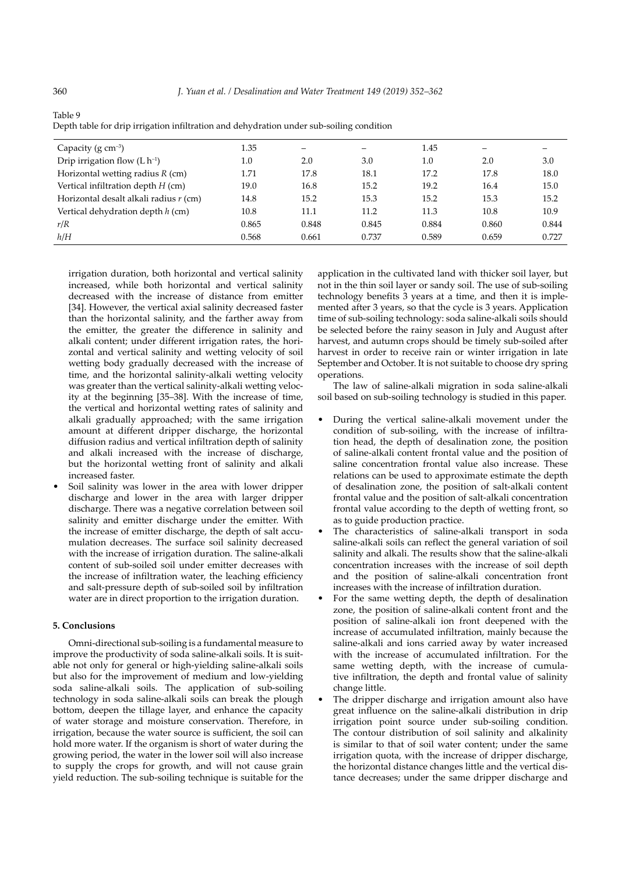| Capacity ( $g \text{ cm}^{-3}$ )       | 1.35  |       |       | 1.45  |       |       |
|----------------------------------------|-------|-------|-------|-------|-------|-------|
| Drip irrigation flow $(L h^{-1})$      | 1.0   | 2.0   | 3.0   | 1.0   | 2.0   | 3.0   |
| Horizontal wetting radius $R$ (cm)     | 1.71  | 17.8  | 18.1  | 17.2  | 17.8  | 18.0  |
| Vertical infiltration depth $H$ (cm)   | 19.0  | 16.8  | 15.2  | 19.2  | 16.4  | 15.0  |
| Horizontal desalt alkali radius r (cm) | 14.8  | 15.2  | 15.3  | 15.2  | 15.3  | 15.2  |
| Vertical dehydration depth $h$ (cm)    | 10.8  | 11.1  | 11.2  | 11.3  | 10.8  | 10.9  |
| r/R                                    | 0.865 | 0.848 | 0.845 | 0.884 | 0.860 | 0.844 |
| h/H                                    | 0.568 | 0.661 | 0.737 | 0.589 | 0.659 | 0.727 |

Table 9 Depth table for drip irrigation infiltration and dehydration under sub-soiling condition

irrigation duration, both horizontal and vertical salinity increased, while both horizontal and vertical salinity decreased with the increase of distance from emitter [34]. However, the vertical axial salinity decreased faster than the horizontal salinity, and the farther away from the emitter, the greater the difference in salinity and alkali content; under different irrigation rates, the horizontal and vertical salinity and wetting velocity of soil wetting body gradually decreased with the increase of time, and the horizontal salinity-alkali wetting velocity was greater than the vertical salinity-alkali wetting velocity at the beginning [35–38]. With the increase of time, the vertical and horizontal wetting rates of salinity and alkali gradually approached; with the same irrigation amount at different dripper discharge, the horizontal diffusion radius and vertical infiltration depth of salinity and alkali increased with the increase of discharge, but the horizontal wetting front of salinity and alkali increased faster.

Soil salinity was lower in the area with lower dripper discharge and lower in the area with larger dripper discharge. There was a negative correlation between soil salinity and emitter discharge under the emitter. With the increase of emitter discharge, the depth of salt accumulation decreases. The surface soil salinity decreased with the increase of irrigation duration. The saline-alkali content of sub-soiled soil under emitter decreases with the increase of infiltration water, the leaching efficiency and salt-pressure depth of sub-soiled soil by infiltration water are in direct proportion to the irrigation duration.

# **5. Conclusions**

Omni-directional sub-soiling is a fundamental measure to improve the productivity of soda saline-alkali soils. It is suitable not only for general or high-yielding saline-alkali soils but also for the improvement of medium and low-yielding soda saline-alkali soils. The application of sub-soiling technology in soda saline-alkali soils can break the plough bottom, deepen the tillage layer, and enhance the capacity of water storage and moisture conservation. Therefore, in irrigation, because the water source is sufficient, the soil can hold more water. If the organism is short of water during the growing period, the water in the lower soil will also increase to supply the crops for growth, and will not cause grain yield reduction. The sub-soiling technique is suitable for the

application in the cultivated land with thicker soil layer, but not in the thin soil layer or sandy soil. The use of sub-soiling technology benefits 3 years at a time, and then it is implemented after 3 years, so that the cycle is 3 years. Application time of sub-soiling technology: soda saline-alkali soils should be selected before the rainy season in July and August after harvest, and autumn crops should be timely sub-soiled after harvest in order to receive rain or winter irrigation in late September and October. It is not suitable to choose dry spring operations.

The law of saline-alkali migration in soda saline-alkali soil based on sub-soiling technology is studied in this paper.

- During the vertical saline-alkali movement under the condition of sub-soiling, with the increase of infiltration head, the depth of desalination zone, the position of saline-alkali content frontal value and the position of saline concentration frontal value also increase. These relations can be used to approximate estimate the depth of desalination zone, the position of salt-alkali content frontal value and the position of salt-alkali concentration frontal value according to the depth of wetting front, so as to guide production practice.
- The characteristics of saline-alkali transport in soda saline-alkali soils can reflect the general variation of soil salinity and alkali. The results show that the saline-alkali concentration increases with the increase of soil depth and the position of saline-alkali concentration front increases with the increase of infiltration duration.
- For the same wetting depth, the depth of desalination zone, the position of saline-alkali content front and the position of saline-alkali ion front deepened with the increase of accumulated infiltration, mainly because the saline-alkali and ions carried away by water increased with the increase of accumulated infiltration. For the same wetting depth, with the increase of cumulative infiltration, the depth and frontal value of salinity change little.
- The dripper discharge and irrigation amount also have great influence on the saline-alkali distribution in drip irrigation point source under sub-soiling condition. The contour distribution of soil salinity and alkalinity is similar to that of soil water content; under the same irrigation quota, with the increase of dripper discharge, the horizontal distance changes little and the vertical distance decreases; under the same dripper discharge and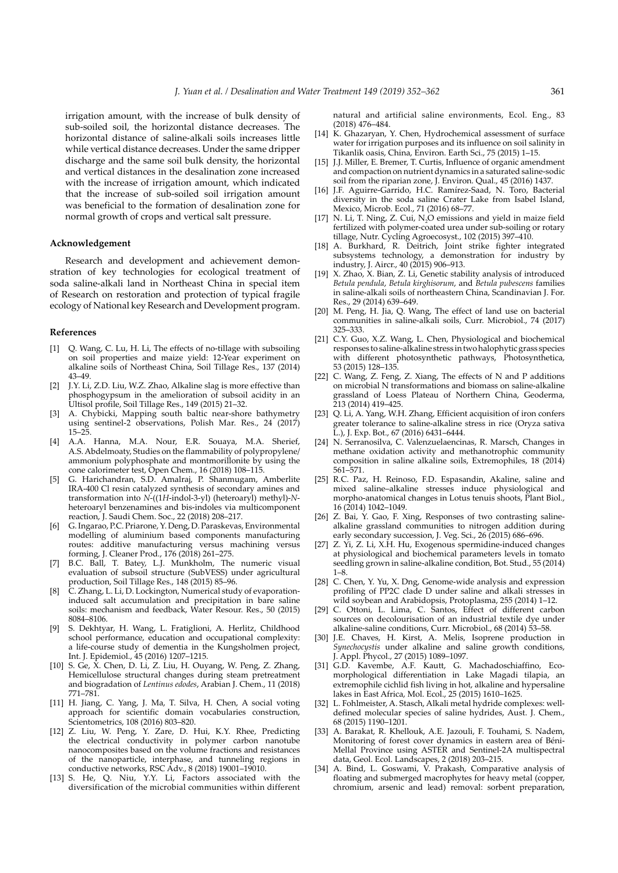irrigation amount, with the increase of bulk density of sub-soiled soil, the horizontal distance decreases. The horizontal distance of saline-alkali soils increases little while vertical distance decreases. Under the same dripper discharge and the same soil bulk density, the horizontal and vertical distances in the desalination zone increased with the increase of irrigation amount, which indicated that the increase of sub-soiled soil irrigation amount was beneficial to the formation of desalination zone for normal growth of crops and vertical salt pressure.

#### **Acknowledgement**

Research and development and achievement demonstration of key technologies for ecological treatment of soda saline-alkali land in Northeast China in special item of Research on restoration and protection of typical fragile ecology of National key Research and Development program.

### **References**

- [1] Q. Wang, C. Lu, H. Li, The effects of no-tillage with subsoiling on soil properties and maize yield: 12-Year experiment on alkaline soils of Northeast China, Soil Tillage Res., 137 (2014) 43–49.
- [2] J.Y. Li, Z.D. Liu, W.Z. Zhao, Alkaline slag is more effective than phosphogypsum in the amelioration of subsoil acidity in an Ultisol profile, Soil Tillage Res., 149 (2015) 21–32.
- [3] A. Chybicki, Mapping south baltic near-shore bathymetry using sentinel-2 observations, Polish Mar. Res., 24 (2017) 15–25.
- [4] A.A. Hanna, M.A. Nour, E.R. Souaya, M.A. Sherief, A.S. Abdelmoaty, Studies on the flammability of polypropylene/ ammonium polyphosphate and montmorillonite by using the cone calorimeter test, Open Chem., 16 (2018) 108–115.
- [5] G. Harichandran, S.D. Amalraj, P. Shanmugam, Amberlite IRA-400 Cl resin catalyzed synthesis of secondary amines and transformation into *N*-((1*H*-indol-3-yl) (heteroaryl) methyl)-*N*heteroaryl benzenamines and bis-indoles via multicomponent reaction, J. Saudi Chem. Soc., 22 (2018) 208–217.
- [6] G. Ingarao, P.C. Priarone, Y. Deng, D. Paraskevas, Environmental modelling of aluminium based components manufacturing routes: additive manufacturing versus machining versus forming, J. Cleaner Prod., 176 (2018) 261–275.
- [7] B.C. Ball, T. Batey, L.J. Munkholm, The numeric visual evaluation of subsoil structure (SubVESS) under agricultural production, Soil Tillage Res., 148 (2015) 85–96.
- [8] C. Zhang, L. Li, D. Lockington, Numerical study of evaporationinduced salt accumulation and precipitation in bare saline soils: mechanism and feedback, Water Resour. Res., 50 (2015) 8084–8106.
- [9] S. Dekhtyar, H. Wang, L. Fratiglioni, A. Herlitz, Childhood school performance, education and occupational complexity: a life-course study of dementia in the Kungsholmen project, Int. J. Epidemiol., 45 (2016) 1207–1215.
- [10] S. Ge, X. Chen, D. Li, Z. Liu, H. Ouyang, W. Peng, Z. Zhang, Hemicellulose structural changes during steam pretreatment and biogradation of *Lentinus edodes*, Arabian J. Chem., 11 (2018) 771–781.
- [11] H. Jiang, C. Yang, J. Ma, T. Silva, H. Chen, A social voting approach for scientific domain vocabularies construction, Scientometrics, 108 (2016) 803–820.
- [12] Z. Liu, W. Peng, Y. Zare, D. Hui, K.Y. Rhee, Predicting the electrical conductivity in polymer carbon nanotube nanocomposites based on the volume fractions and resistances of the nanoparticle, interphase, and tunneling regions in conductive networks, RSC Adv., 8 (2018) 19001–19010.
- [13] S. He, Q. Niu, Y.Y. Li, Factors associated with the diversification of the microbial communities within different

natural and artificial saline environments, Ecol. Eng., 83 (2018) 476–484.

- [14] K. Ghazaryan, Y. Chen, Hydrochemical assessment of surface water for irrigation purposes and its influence on soil salinity in Tikanlik oasis, China, Environ. Earth Sci., 75 (2015) 1–15.
- [15] J.J. Miller, E. Bremer, T. Curtis, Influence of organic amendment and compaction on nutrient dynamics in a saturated saline-sodic soil from the riparian zone, J. Environ. Qual., 45 (2016) 1437.
- [16] J.F. Aguirre-Garrido, H.C. Ramírez-Saad, N. Toro, Bacterial diversity in the soda saline Crater Lake from Isabel Island, Mexico, Microb. Ecol., 71 (2016) 68–77.
- [17] N. Li, T. Ning, Z. Cui, N<sub>2</sub>O emissions and yield in maize field fertilized with polymer-coated urea under sub-soiling or rotary tillage, Nutr. Cycling Agroecosyst., 102 (2015) 397–410.
- [18] A. Burkhard, R. Deitrich, Joint strike fighter integrated subsystems technology, a demonstration for industry by industry, J. Aircr., 40 (2015) 906–913.
- [19] X. Zhao, X. Bian, Z. Li, Genetic stability analysis of introduced *Betula pendula*, *Betula kirghisorum*, and *Betula pubescens* families in saline-alkali soils of northeastern China, Scandinavian J. For. Res., 29 (2014) 639–649.
- [20] M. Peng, H. Jia, Q. Wang, The effect of land use on bacterial communities in saline-alkali soils, Curr. Microbiol., 74 (2017) 325–333.
- [21] C.Y. Guo, X.Z. Wang, L. Chen, Physiological and biochemical responses to saline-alkaline stress in two halophytic grass species with different photosynthetic pathways, Photosynthetica, 53 (2015) 128–135.
- [22] C. Wang, Z. Feng, Z. Xiang, The effects of N and P additions on microbial N transformations and biomass on saline-alkaline grassland of Loess Plateau of Northern China, Geoderma, 213 (2014) 419–425.
- [23] Q. Li, A. Yang, W.H. Zhang, Efficient acquisition of iron confers greater tolerance to saline-alkaline stress in rice (Oryza sativa L.), J. Exp. Bot., 67 (2016) 6431–6444.
- [24] N. Serranosilva, C. Valenzuelaencinas, R. Marsch, Changes in methane oxidation activity and methanotrophic community composition in saline alkaline soils, Extremophiles, 18 (2014) 561–571.
- [25] R.C. Paz, H. Reinoso, F.D. Espasandin, Akaline, saline and mixed saline–alkaline stresses induce physiological and morpho-anatomical changes in Lotus tenuis shoots, Plant Biol., 16 (2014) 1042–1049.
- [26] Z. Bai, Y. Gao, F. Xing, Responses of two contrasting salinealkaline grassland communities to nitrogen addition during early secondary succession, J. Veg. Sci., 26 (2015) 686–696.
- [27] Z. Yi, Z. Li, X.H. Hu, Exogenous spermidine-induced changes at physiological and biochemical parameters levels in tomato seedling grown in saline-alkaline condition, Bot. Stud., 55 (2014) 1–8.
- [28] C. Chen, Y. Yu, X. Dng, Genome-wide analysis and expression profiling of PP2C clade D under saline and alkali stresses in wild soybean and Arabidopsis, Protoplasma, 255 (2014) 1–12.
- [29] C. Ottoni, L. Lima, C. Santos, Effect of different carbon sources on decolourisation of an industrial textile dye under alkaline-saline conditions, Curr. Microbiol., 68 (2014) 53–58.
- [30] J.E. Chaves, H. Kirst, A. Melis, Isoprene production in *Synechocystis* under alkaline and saline growth conditions, J. Appl. Phycol., 27 (2015) 1089–1097.
- [31] G.D. Kavembe, A.F. Kautt, G. Machadoschiaffino, Ecomorphological differentiation in Lake Magadi tilapia, an extremophile cichlid fish living in hot, alkaline and hypersaline lakes in East Africa, Mol. Ecol., 25 (2015) 1610–1625.
- [32] L. Fohlmeister, A. Stasch, Alkali metal hydride complexes: welldefined molecular species of saline hydrides, Aust. J. Chem., 68 (2015) 1190–1201.
- [33] A. Barakat, R. Khellouk, A.E. Jazouli, F. Touhami, S. Nadem, Monitoring of forest cover dynamics in eastern area of Béni-Mellal Province using ASTER and Sentinel-2A multispectral data, Geol. Ecol. Landscapes, 2 (2018) 203–215.
- [34] A. Bind, L. Goswami, V. Prakash, Comparative analysis of floating and submerged macrophytes for heavy metal (copper, chromium, arsenic and lead) removal: sorbent preparation,